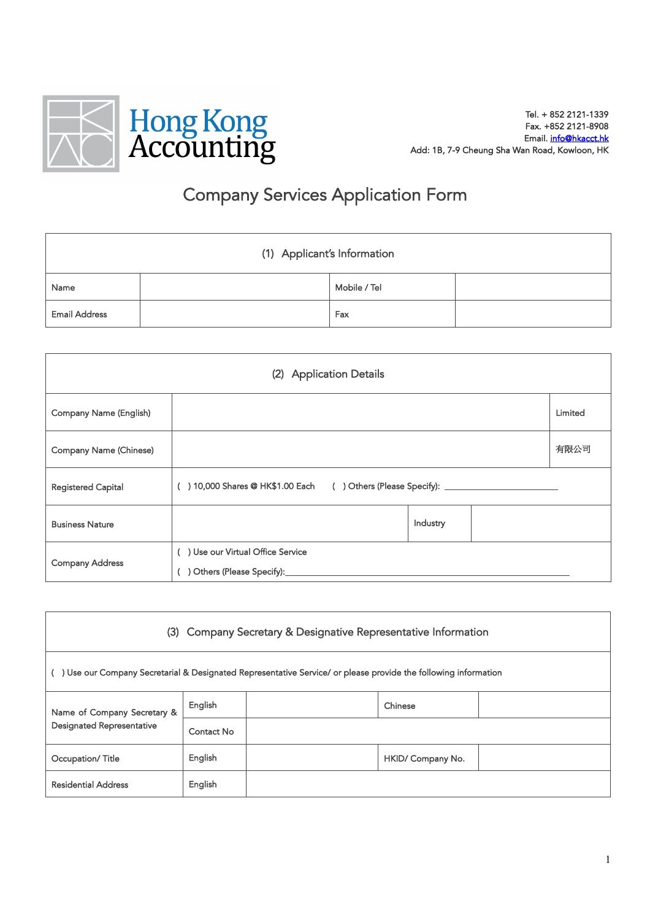

## Company Services Application Form

|                      | (1) Applicant's Information |              |  |
|----------------------|-----------------------------|--------------|--|
| Name                 |                             | Mobile / Tel |  |
| <b>Email Address</b> |                             | Fax          |  |

|                               | (2) Application Details                                                    |          |         |
|-------------------------------|----------------------------------------------------------------------------|----------|---------|
| Company Name (English)        |                                                                            |          | Limited |
| <b>Company Name (Chinese)</b> |                                                                            |          | 有限公司    |
| <b>Registered Capital</b>     | () 10,000 Shares @ HK\$1.00 Each () Others (Please Specify): _____________ |          |         |
| <b>Business Nature</b>        |                                                                            | Industry |         |
| <b>Company Address</b>        | () Use our Virtual Office Service<br>) Others (Please Specify):______      |          |         |

| (3) Company Secretary & Designative Representative Information |            |                                                                                                                |                   |  |
|----------------------------------------------------------------|------------|----------------------------------------------------------------------------------------------------------------|-------------------|--|
|                                                                |            | Use our Company Secretarial & Designated Representative Service/ or please provide the following information ( |                   |  |
| Name of Company Secretary &                                    | English    |                                                                                                                | Chinese           |  |
| <b>Designated Representative</b>                               | Contact No |                                                                                                                |                   |  |
| Occupation/Title                                               | English    |                                                                                                                | HKID/ Company No. |  |
| <b>Residential Address</b>                                     | English    |                                                                                                                |                   |  |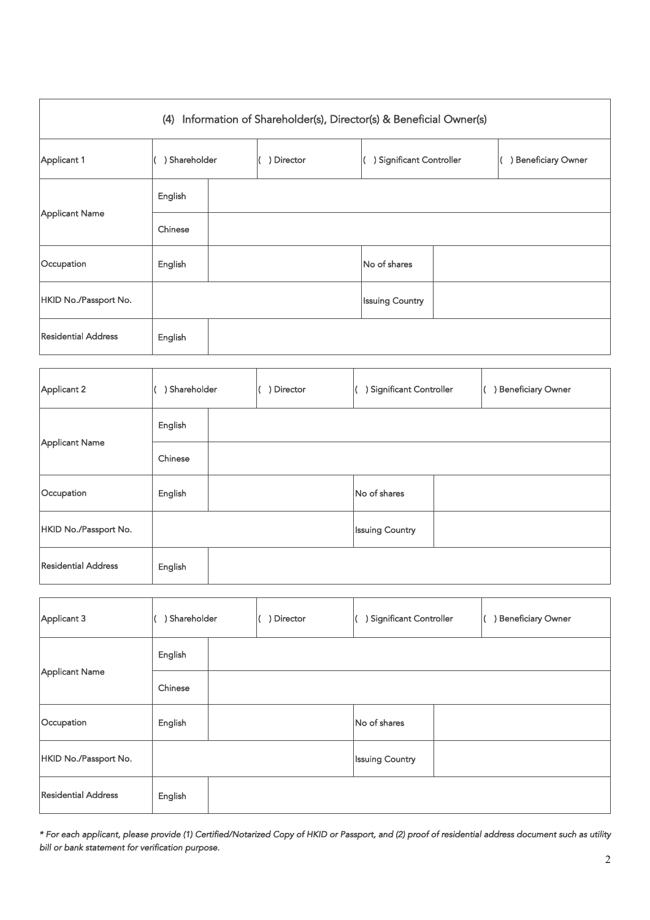|                            |                                                              |  | (4) Information of Shareholder(s), Director(s) & Beneficial Owner(s) |                        |                                               |                                                  |
|----------------------------|--------------------------------------------------------------|--|----------------------------------------------------------------------|------------------------|-----------------------------------------------|--------------------------------------------------|
| Applicant 1                | ) Significant Controller<br>) Shareholder<br>) Director<br>€ |  |                                                                      |                        |                                               | ) Beneficiary Owner                              |
|                            | English                                                      |  |                                                                      |                        |                                               |                                                  |
| Applicant Name             | Chinese                                                      |  |                                                                      |                        |                                               |                                                  |
| Occupation                 | English                                                      |  |                                                                      | No of shares           |                                               |                                                  |
| HKID No./Passport No.      |                                                              |  |                                                                      | <b>Issuing Country</b> |                                               |                                                  |
| <b>Residential Address</b> | English                                                      |  |                                                                      |                        |                                               |                                                  |
|                            |                                                              |  |                                                                      |                        |                                               |                                                  |
| ا مسمعا سما                | $\sqrt{2}$ Chambellan                                        |  | <i>I</i> Notes about                                                 |                        | $\mathcal{U}$ . A Claim theories Construction | $I \rightarrow D$ and $E$ along $O$ and $\alpha$ |

| Applicant 2                | ) Shareholder | ) Director | ) Significant Controller | <b>Beneficiary Owner</b> |
|----------------------------|---------------|------------|--------------------------|--------------------------|
|                            | English       |            |                          |                          |
| Applicant Name             | Chinese       |            |                          |                          |
| Occupation                 | English       |            | No of shares             |                          |
| HKID No./Passport No.      |               |            | <b>Issuing Country</b>   |                          |
| <b>Residential Address</b> | English       |            |                          |                          |

| Applicant 3                | ) Shareholder | ) Director | ) Significant Controller | <b>Beneficiary Owner</b> |
|----------------------------|---------------|------------|--------------------------|--------------------------|
|                            | English       |            |                          |                          |
| Applicant Name             | Chinese       |            |                          |                          |
| Occupation                 | English       |            | No of shares             |                          |
| HKID No./Passport No.      |               |            | <b>Issuing Country</b>   |                          |
| <b>Residential Address</b> | English       |            |                          |                          |

*\* For each applicant, please provide (1) Certified/Notarized Copy of HKID or Passport, and (2) proof of residential address document such as utility bill or bank statement for verification purpose.*